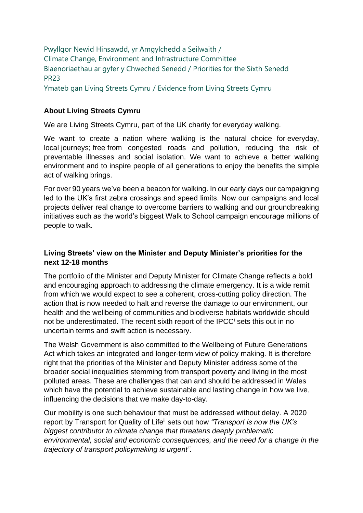Pwyllgor Newid Hinsawdd, yr Amgylchedd a Seilwaith / Climate Change, Environment and Infrastructure Committee [Blaenoriaethau ar gyfer y Chweched Senedd](https://busnes.senedd.cymru/mgConsultationDisplay.aspx?id=427&RPID=1026452002&cp=yes) / Priorities [for the Sixth Senedd](https://business.senedd.wales/mgConsultationDisplay.aspx?id=427&RPID=1026452002&cp=yes) PR23

Ymateb gan Living Streets Cymru / Evidence from Living Streets Cymru

## **About Living Streets Cymru**

We are Living Streets Cymru, part of the UK charity for everyday walking.

We want to create a nation where walking is the natural choice for everyday, local journeys; free from congested roads and pollution, reducing the risk of preventable illnesses and social isolation. We want to achieve a better walking environment and to inspire people of all generations to enjoy the benefits the simple act of walking brings.

For over 90 years we've been a beacon for walking. In our early days our campaigning led to the UK's first zebra crossings and speed limits. Now our campaigns and local projects deliver real change to overcome barriers to walking and our groundbreaking initiatives such as the world's biggest Walk to School campaign encourage millions of people to walk.

## **Living Streets' view on the Minister and Deputy Minister's priorities for the next 12-18 months**

The portfolio of the Minister and Deputy Minister for Climate Change reflects a bold and encouraging approach to addressing the climate emergency. It is a wide remit from which we would expect to see a coherent, cross-cutting policy direction. The action that is now needed to halt and reverse the damage to our environment, our health and the wellbeing of communities and biodiverse habitats worldwide should not be underestimated. The recent sixth report of the IPCC<sup>i</sup> sets this out in no uncertain terms and swift action is necessary.

The Welsh Government is also committed to the Wellbeing of Future Generations Act which takes an integrated and longer-term view of policy making. It is therefore right that the priorities of the Minister and Deputy Minister address some of the broader social inequalities stemming from transport poverty and living in the most polluted areas. These are challenges that can and should be addressed in Wales which have the potential to achieve sustainable and lasting change in how we live, influencing the decisions that we make day-to-day.

Our mobility is one such behaviour that must be addressed without delay. A 2020 report by Transport for Quality of Lifeii sets out how *"Transport is now the UK's biggest contributor to climate change that threatens deeply problematic environmental, social and economic consequences, and the need for a change in the trajectory of transport policymaking is urgent".*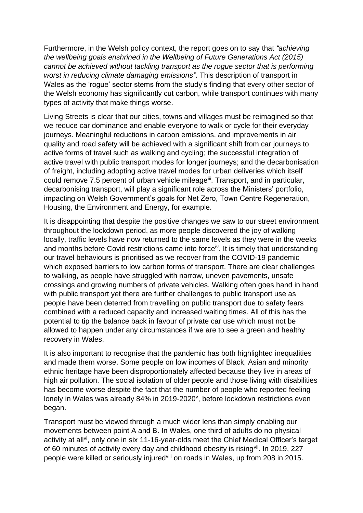Furthermore, in the Welsh policy context, the report goes on to say that *"achieving the wellbeing goals enshrined in the Wellbeing of Future Generations Act (2015) cannot be achieved without tackling transport as the rogue sector that is performing worst in reducing climate damaging emissions"*. This description of transport in Wales as the 'rogue' sector stems from the study's finding that every other sector of the Welsh economy has significantly cut carbon, while transport continues with many types of activity that make things worse.

Living Streets is clear that our cities, towns and villages must be reimagined so that we reduce car dominance and enable everyone to walk or cycle for their everyday journeys. Meaningful reductions in carbon emissions, and improvements in air quality and road safety will be achieved with a significant shift from car journeys to active forms of travel such as walking and cycling; the successful integration of active travel with public transport modes for longer journeys; and the decarbonisation of freight, including adopting active travel modes for urban deliveries which itself could remove 7.5 percent of urban vehicle mileage<sup>ii</sup>. Transport, and in particular, decarbonising transport, will play a significant role across the Ministers' portfolio, impacting on Welsh Government's goals for Net Zero, Town Centre Regeneration, Housing, the Environment and Energy, for example.

It is disappointing that despite the positive changes we saw to our street environment throughout the lockdown period, as more people discovered the joy of walking locally, traffic levels have now returned to the same levels as they were in the weeks and months before Covid restrictions came into force<sup>iv</sup>. It is timely that understanding our travel behaviours is prioritised as we recover from the COVID-19 pandemic which exposed barriers to low carbon forms of transport. There are clear challenges to walking, as people have struggled with narrow, uneven pavements, unsafe crossings and growing numbers of private vehicles. Walking often goes hand in hand with public transport yet there are further challenges to public transport use as people have been deterred from travelling on public transport due to safety fears combined with a reduced capacity and increased waiting times. All of this has the potential to tip the balance back in favour of private car use which must not be allowed to happen under any circumstances if we are to see a green and healthy recovery in Wales.

It is also important to recognise that the pandemic has both highlighted inequalities and made them worse. Some people on low incomes of Black, Asian and minority ethnic heritage have been disproportionately affected because they live in areas of high air pollution. The social isolation of older people and those living with disabilities has become worse despite the fact that the number of people who reported feeling lonely in Wales was already 84% in 2019-2020<sup>v</sup>, before lockdown restrictions even began.

Transport must be viewed through a much wider lens than simply enabling our movements between point A and B. In Wales, one third of adults do no physical activity at all<sup>vi</sup>, only one in six 11-16-year-olds meet the Chief Medical Officer's target of 60 minutes of activity every day and childhood obesity is rising<sup>vii</sup>. In 2019, 227 people were killed or seriously injuredviii on roads in Wales, up from 208 in 2015.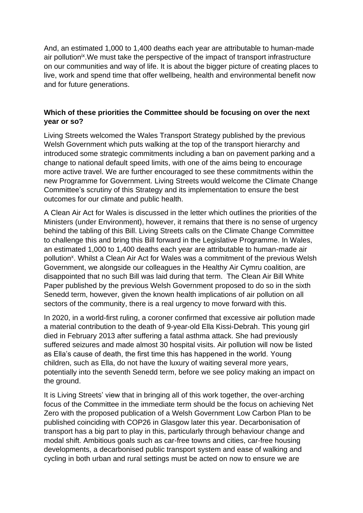And, an estimated 1,000 to 1,400 deaths each year are attributable to human-made air pollution<sup>ix</sup>. We must take the perspective of the impact of transport infrastructure on our communities and way of life. It is about the bigger picture of creating places to live, work and spend time that offer wellbeing, health and environmental benefit now and for future generations.

## **Which of these priorities the Committee should be focusing on over the next year or so?**

Living Streets welcomed the Wales Transport Strategy published by the previous Welsh Government which puts walking at the top of the transport hierarchy and introduced some strategic commitments including a ban on pavement parking and a change to national default speed limits, with one of the aims being to encourage more active travel. We are further encouraged to see these commitments within the new Programme for Government. Living Streets would welcome the Climate Change Committee's scrutiny of this Strategy and its implementation to ensure the best outcomes for our climate and public health.

A Clean Air Act for Wales is discussed in the letter which outlines the priorities of the Ministers (under Environment), however, it remains that there is no sense of urgency behind the tabling of this Bill. Living Streets calls on the Climate Change Committee to challenge this and bring this Bill forward in the Legislative Programme. In Wales, an estimated 1,000 to 1,400 deaths each year are attributable to human-made air pollution<sup>x</sup>. Whilst a Clean Air Act for Wales was a commitment of the previous Welsh Government, we alongside our colleagues in the Healthy Air Cymru coalition, are disappointed that no such Bill was laid during that term. The Clean Air Bill White Paper published by the previous Welsh Government proposed to do so in the sixth Senedd term, however, given the known health implications of air pollution on all sectors of the community, there is a real urgency to move forward with this.

In 2020, in a world-first ruling, a coroner confirmed that excessive air pollution made a material contribution to the death of 9-year-old Ella Kissi-Debrah. This young girl died in February 2013 after suffering a fatal asthma attack. She had previously suffered seizures and made almost 30 hospital visits. Air pollution will now be listed as Ella's cause of death, the first time this has happened in the world. Young children, such as Ella, do not have the luxury of waiting several more years, potentially into the seventh Senedd term, before we see policy making an impact on the ground.

It is Living Streets' view that in bringing all of this work together, the over-arching focus of the Committee in the immediate term should be the focus on achieving Net Zero with the proposed publication of a Welsh Government Low Carbon Plan to be published coinciding with COP26 in Glasgow later this year. Decarbonisation of transport has a big part to play in this, particularly through behaviour change and modal shift. Ambitious goals such as car-free towns and cities, car-free housing developments, a decarbonised public transport system and ease of walking and cycling in both urban and rural settings must be acted on now to ensure we are